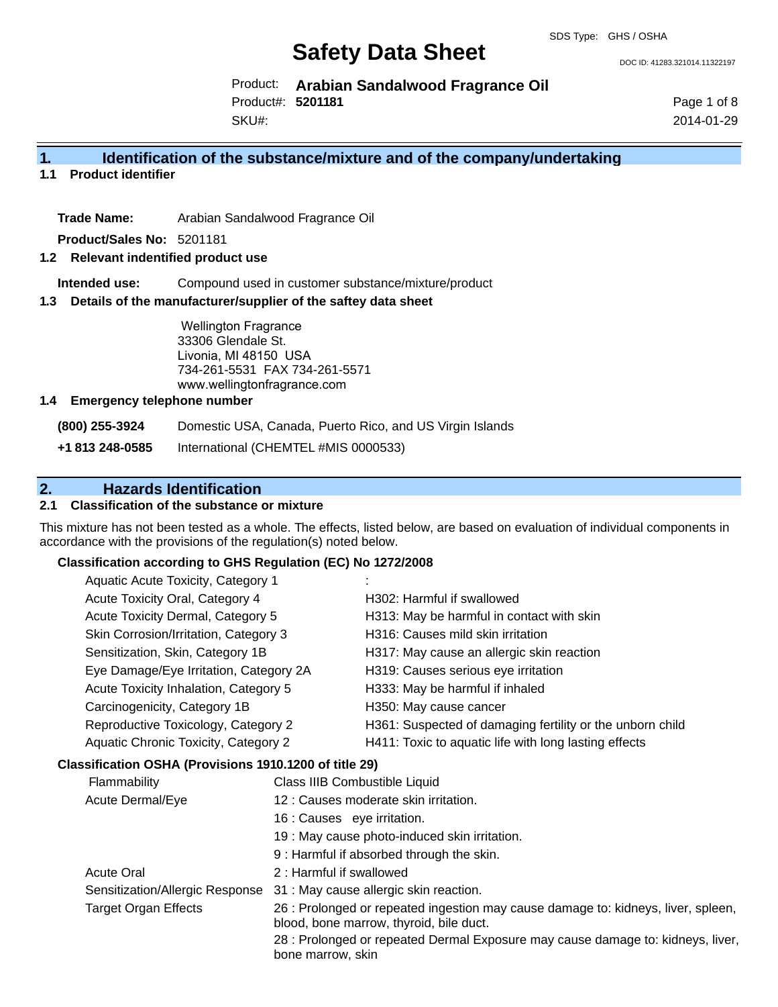DOC ID: 41283.321014.11322197

Product: **Arabian Sandalwood Fragrance Oil** Product#: **5201181**

SKU#:

Page 1 of 8 2014-01-29

## **1. Identification of the substance/mixture and of the company/undertaking**

**1.1 Product identifier**

**Trade Name:** Arabian Sandalwood Fragrance Oil

**Product/Sales No:** 5201181

#### **1.2 Relevant indentified product use**

**Intended use:** Compound used in customer substance/mixture/product

#### **1.3 Details of the manufacturer/supplier of the saftey data sheet**

Wellington Fragrance 33306 Glendale St. Livonia, MI 48150 USA 734-261-5531 FAX 734-261-5571 www.wellingtonfragrance.com

#### **1.4 Emergency telephone number**

**(800) 255-3924** Domestic USA, Canada, Puerto Rico, and US Virgin Islands

**+1 813 248-0585** International (CHEMTEL #MIS 0000533)

# **2. Hazards Identification**

### **2.1 Classification of the substance or mixture**

This mixture has not been tested as a whole. The effects, listed below, are based on evaluation of individual components in accordance with the provisions of the regulation(s) noted below.

#### **Classification according to GHS Regulation (EC) No 1272/2008**

| Aquatic Acute Toxicity, Category 1          |                                                           |
|---------------------------------------------|-----------------------------------------------------------|
| Acute Toxicity Oral, Category 4             | H302: Harmful if swallowed                                |
| Acute Toxicity Dermal, Category 5           | H313: May be harmful in contact with skin                 |
| Skin Corrosion/Irritation, Category 3       | H316: Causes mild skin irritation                         |
| Sensitization, Skin, Category 1B            | H317: May cause an allergic skin reaction                 |
| Eye Damage/Eye Irritation, Category 2A      | H319: Causes serious eye irritation                       |
| Acute Toxicity Inhalation, Category 5       | H333: May be harmful if inhaled                           |
| Carcinogenicity, Category 1B                | H350: May cause cancer                                    |
| Reproductive Toxicology, Category 2         | H361: Suspected of damaging fertility or the unborn child |
| <b>Aquatic Chronic Toxicity, Category 2</b> | H411: Toxic to aquatic life with long lasting effects     |
|                                             |                                                           |

#### **Classification OSHA (Provisions 1910.1200 of title 29)**

| <b>Flammability</b>             | Class IIIB Combustible Liquid                                                                                                |
|---------------------------------|------------------------------------------------------------------------------------------------------------------------------|
| Acute Dermal/Eye                | 12 : Causes moderate skin irritation.                                                                                        |
|                                 | 16 : Causes eve irritation.                                                                                                  |
|                                 | 19 : May cause photo-induced skin irritation.                                                                                |
|                                 | 9 : Harmful if absorbed through the skin.                                                                                    |
| <b>Acute Oral</b>               | 2 : Harmful if swallowed                                                                                                     |
| Sensitization/Allergic Response | 31 : May cause allergic skin reaction.                                                                                       |
| <b>Target Organ Effects</b>     | 26 : Prolonged or repeated ingestion may cause damage to: kidneys, liver, spleen,<br>blood, bone marrow, thyroid, bile duct. |
|                                 | 28 : Prolonged or repeated Dermal Exposure may cause damage to: kidneys, liver,<br>bone marrow, skin                         |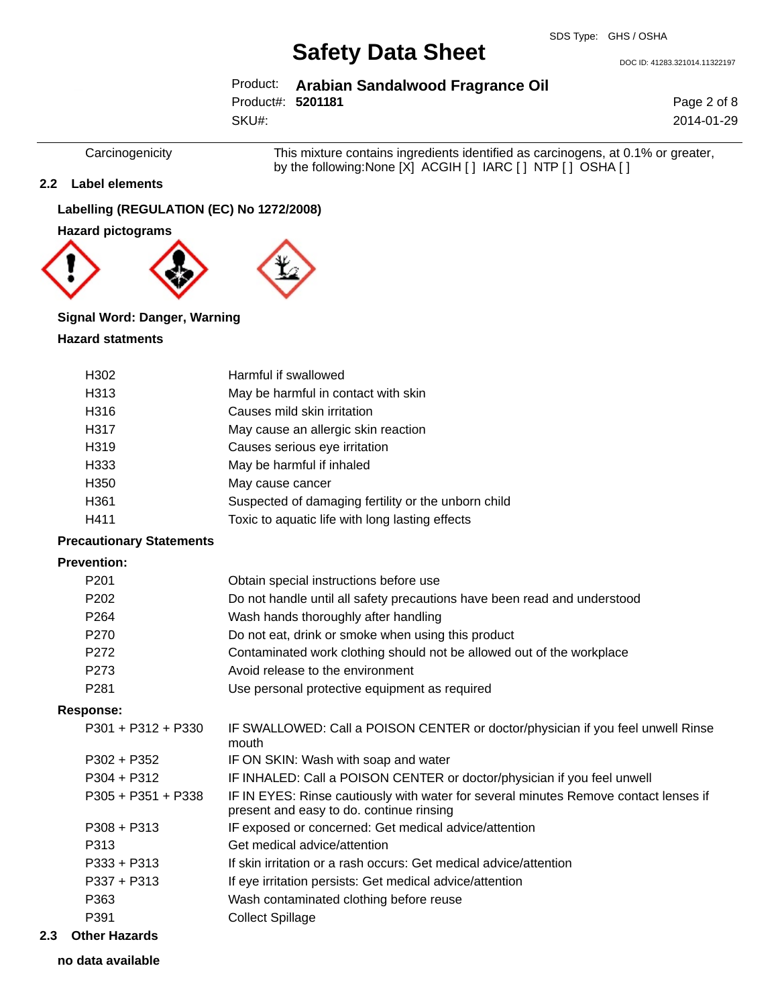DOC ID: 41283.321014.11322197

## Product: **Arabian Sandalwood Fragrance Oil** SKU#: Product#: **5201181**

Page 2 of 8 2014-01-29

Carcinogenicity This mixture contains ingredients identified as carcinogens, at 0.1% or greater, by the following:None [X] ACGIH [ ] IARC [ ] NTP [ ] OSHA [ ]

### **2.2 Label elements**

## **Labelling (REGULATION (EC) No 1272/2008)**

**Hazard pictograms**



#### **Signal Word: Danger, Warning**

#### **Hazard statments**

| H <sub>302</sub> | Harmful if swallowed                                |
|------------------|-----------------------------------------------------|
| H313             | May be harmful in contact with skin                 |
| H316             | Causes mild skin irritation                         |
| H317             | May cause an allergic skin reaction                 |
| H319             | Causes serious eye irritation                       |
| H333             | May be harmful if inhaled                           |
| H350             | May cause cancer                                    |
| H361             | Suspected of damaging fertility or the unborn child |
| H411             | Toxic to aquatic life with long lasting effects     |

## **Precautionary Statements**

### **Prevention:**

| P201 | Obtain special instructions before use                                   |
|------|--------------------------------------------------------------------------|
| P202 | Do not handle until all safety precautions have been read and understood |
| P264 | Wash hands thoroughly after handling                                     |
| P270 | Do not eat, drink or smoke when using this product                       |
| P272 | Contaminated work clothing should not be allowed out of the workplace    |
| P273 | Avoid release to the environment                                         |
| P281 | Use personal protective equipment as required                            |

#### **Response:**

| .                    |                                                                                                                                  |
|----------------------|----------------------------------------------------------------------------------------------------------------------------------|
| $P301 + P312 + P330$ | IF SWALLOWED: Call a POISON CENTER or doctor/physician if you feel unwell Rinse<br>mouth                                         |
| $P302 + P352$        | IF ON SKIN: Wash with soap and water                                                                                             |
| $P304 + P312$        | IF INHALED: Call a POISON CENTER or doctor/physician if you feel unwell                                                          |
| $P305 + P351 + P338$ | IF IN EYES: Rinse cautiously with water for several minutes Remove contact lenses if<br>present and easy to do. continue rinsing |
| $P308 + P313$        | IF exposed or concerned: Get medical advice/attention                                                                            |
| P313                 | Get medical advice/attention                                                                                                     |
| $P333 + P313$        | If skin irritation or a rash occurs: Get medical advice/attention                                                                |
| $P337 + P313$        | If eye irritation persists: Get medical advice/attention                                                                         |
| P363                 | Wash contaminated clothing before reuse                                                                                          |
| P391                 | <b>Collect Spillage</b>                                                                                                          |
|                      |                                                                                                                                  |

### **2.3 Other Hazards**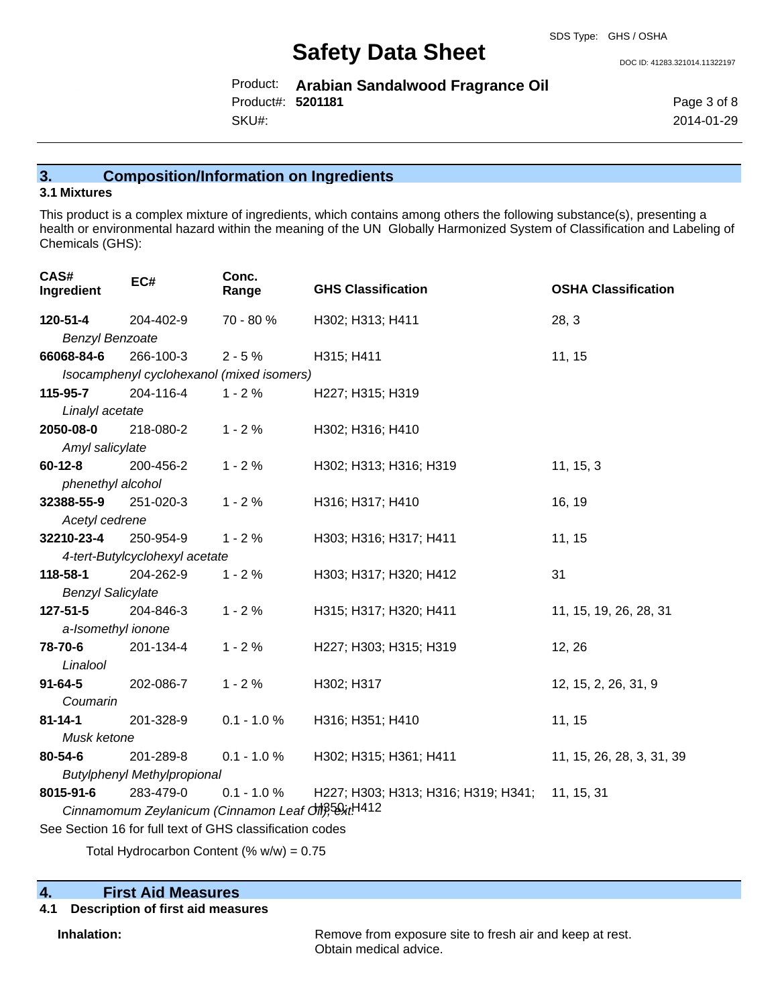DOC ID: 41283.321014.11322197

Product: **Arabian Sandalwood Fragrance Oil** SKU#: Product#: **5201181**

Page 3 of 8 2014-01-29

# **3. Composition/Information on Ingredients**

### **3.1 Mixtures**

This product is a complex mixture of ingredients, which contains among others the following substance(s), presenting a health or environmental hazard within the meaning of the UN Globally Harmonized System of Classification and Labeling of Chemicals (GHS):

| CAS#<br>Ingredient                                                          | EC#                                       | Conc.<br>Range | <b>GHS Classification</b>           | <b>OSHA Classification</b> |
|-----------------------------------------------------------------------------|-------------------------------------------|----------------|-------------------------------------|----------------------------|
| 120-51-4                                                                    | 204-402-9                                 | 70 - 80 %      | H302; H313; H411                    | 28, 3                      |
| <b>Benzyl Benzoate</b>                                                      |                                           |                |                                     |                            |
| 66068-84-6                                                                  | 266-100-3                                 | $2 - 5%$       | H315; H411                          | 11, 15                     |
|                                                                             | Isocamphenyl cyclohexanol (mixed isomers) |                |                                     |                            |
| 115-95-7                                                                    | 204-116-4                                 | $1 - 2%$       | H227; H315; H319                    |                            |
| Linalyl acetate                                                             |                                           |                |                                     |                            |
| 2050-08-0                                                                   | 218-080-2                                 | $1 - 2%$       | H302; H316; H410                    |                            |
| Amyl salicylate                                                             |                                           |                |                                     |                            |
| $60 - 12 - 8$                                                               | 200-456-2                                 | $1 - 2%$       | H302; H313; H316; H319              | 11, 15, 3                  |
| phenethyl alcohol                                                           |                                           |                |                                     |                            |
| 32388-55-9                                                                  | 251-020-3                                 | $1 - 2%$       | H316; H317; H410                    | 16, 19                     |
| Acetyl cedrene                                                              |                                           |                |                                     |                            |
| 32210-23-4                                                                  | 250-954-9                                 | $1 - 2%$       | H303; H316; H317; H411              | 11, 15                     |
|                                                                             | 4-tert-Butylcyclohexyl acetate            |                |                                     |                            |
| 118-58-1                                                                    | 204-262-9                                 | $1 - 2%$       | H303; H317; H320; H412              | 31                         |
| <b>Benzyl Salicylate</b>                                                    |                                           |                |                                     |                            |
| 127-51-5                                                                    | 204-846-3                                 | $1 - 2%$       | H315; H317; H320; H411              | 11, 15, 19, 26, 28, 31     |
| a-Isomethyl ionone                                                          |                                           |                |                                     |                            |
| 78-70-6                                                                     | 201-134-4                                 | $1 - 2%$       | H227; H303; H315; H319              | 12, 26                     |
| Linalool                                                                    |                                           |                |                                     |                            |
| $91 - 64 - 5$                                                               | 202-086-7                                 | $1 - 2%$       | H302; H317                          | 12, 15, 2, 26, 31, 9       |
| Coumarin                                                                    |                                           |                |                                     |                            |
| $81 - 14 - 1$                                                               | 201-328-9                                 | $0.1 - 1.0 %$  | H316; H351; H410                    | 11, 15                     |
| Musk ketone                                                                 |                                           |                |                                     |                            |
| 80-54-6                                                                     | 201-289-8                                 | $0.1 - 1.0 \%$ | H302; H315; H361; H411              | 11, 15, 26, 28, 3, 31, 39  |
| <b>Butylphenyl Methylpropional</b>                                          |                                           |                |                                     |                            |
| 8015-91-6                                                                   | 283-479-0                                 | $0.1 - 1.0 %$  | H227; H303; H313; H316; H319; H341; | 11, 15, 31                 |
| Cinnamomum Zeylanicum (Cinnamon Leaf $\partial M$ <sup>5</sup> , 5, 2, 4412 |                                           |                |                                     |                            |
| See Section 16 for full text of GHS classification codes                    |                                           |                |                                     |                            |

Total Hydrocarbon Content (%  $w/w$ ) = 0.75

# **4. First Aid Measures**

# **4.1 Description of first aid measures**

**Inhalation:** Remove from exposure site to fresh air and keep at rest. Obtain medical advice.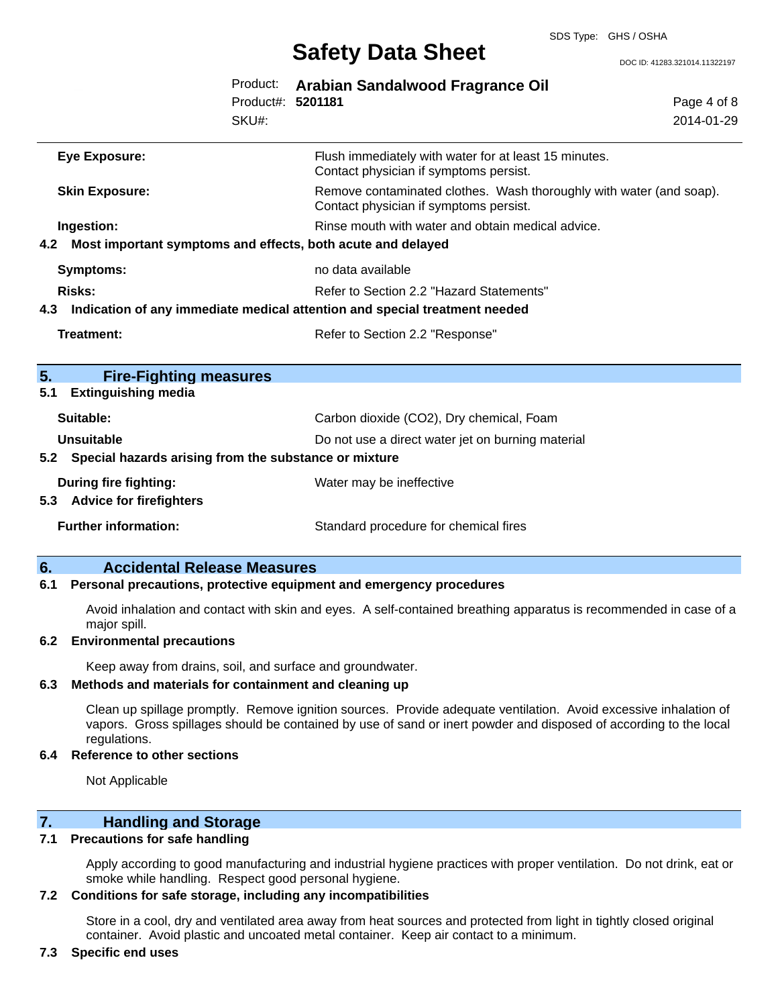DOC ID: 41283.321014.11322197

|     |                                                                            | Product:<br>Product#: 5201181<br>SKU#: | Arabian Sandalwood Fragrance Oil                                                                              | Page 4 of 8<br>2014-01-29 |
|-----|----------------------------------------------------------------------------|----------------------------------------|---------------------------------------------------------------------------------------------------------------|---------------------------|
|     | <b>Eye Exposure:</b>                                                       |                                        | Flush immediately with water for at least 15 minutes.<br>Contact physician if symptoms persist.               |                           |
|     | <b>Skin Exposure:</b>                                                      |                                        | Remove contaminated clothes. Wash thoroughly with water (and soap).<br>Contact physician if symptoms persist. |                           |
| 4.2 | Ingestion:<br>Most important symptoms and effects, both acute and delayed  |                                        | Rinse mouth with water and obtain medical advice.                                                             |                           |
|     | <b>Symptoms:</b>                                                           |                                        | no data available                                                                                             |                           |
|     | Risks:                                                                     |                                        | Refer to Section 2.2 "Hazard Statements"                                                                      |                           |
| 4.3 | Indication of any immediate medical attention and special treatment needed |                                        |                                                                                                               |                           |
|     | <b>Treatment:</b>                                                          |                                        | Refer to Section 2.2 "Response"                                                                               |                           |
| 5.  | <b>Fire-Fighting measures</b>                                              |                                        |                                                                                                               |                           |
| 5.1 | <b>Extinguishing media</b>                                                 |                                        |                                                                                                               |                           |
|     | Suitable:                                                                  |                                        | Carbon dioxide (CO2), Dry chemical, Foam                                                                      |                           |
|     | Unsuitable<br>Do not use a direct water jet on burning material            |                                        |                                                                                                               |                           |
|     | 5.2 Special hazards arising from the substance or mixture                  |                                        |                                                                                                               |                           |
| 5.3 | <b>During fire fighting:</b><br><b>Advice for firefighters</b>             |                                        | Water may be ineffective                                                                                      |                           |
|     | <b>Further information:</b>                                                |                                        | Standard procedure for chemical fires                                                                         |                           |

## **6. Accidental Release Measures**

#### **6.1 Personal precautions, protective equipment and emergency procedures**

Avoid inhalation and contact with skin and eyes. A self-contained breathing apparatus is recommended in case of a major spill.

#### **6.2 Environmental precautions**

Keep away from drains, soil, and surface and groundwater.

#### **6.3 Methods and materials for containment and cleaning up**

Clean up spillage promptly. Remove ignition sources. Provide adequate ventilation. Avoid excessive inhalation of vapors. Gross spillages should be contained by use of sand or inert powder and disposed of according to the local regulations.

#### **6.4 Reference to other sections**

Not Applicable

# **7. Handling and Storage**

## **7.1 Precautions for safe handling**

Apply according to good manufacturing and industrial hygiene practices with proper ventilation. Do not drink, eat or smoke while handling. Respect good personal hygiene.

#### **7.2 Conditions for safe storage, including any incompatibilities**

Store in a cool, dry and ventilated area away from heat sources and protected from light in tightly closed original container. Avoid plastic and uncoated metal container. Keep air contact to a minimum.

#### **7.3 Specific end uses**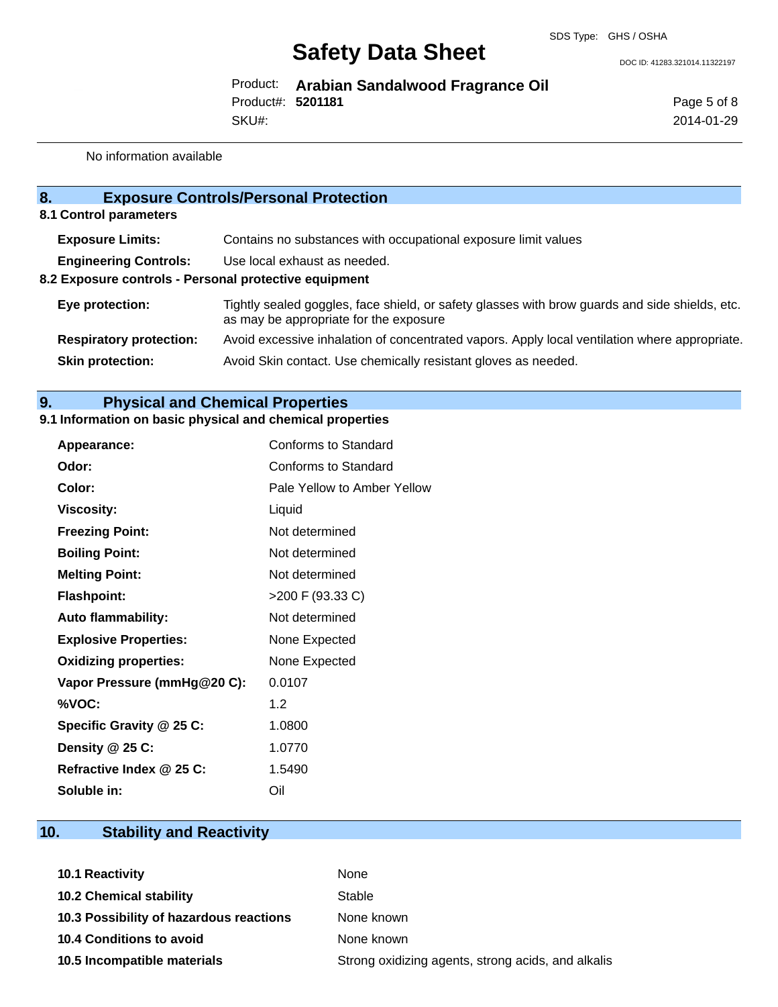DOC ID: 41283.321014.11322197

Product: **Arabian Sandalwood Fragrance Oil** SKU#: Product#: **5201181**

Page 5 of 8 2014-01-29

No information available

| 8 <sub>1</sub>                                                                                                        | <b>Exposure Controls/Personal Protection</b>                                                                                             |  |  |  |
|-----------------------------------------------------------------------------------------------------------------------|------------------------------------------------------------------------------------------------------------------------------------------|--|--|--|
| 8.1 Control parameters                                                                                                |                                                                                                                                          |  |  |  |
| <b>Exposure Limits:</b>                                                                                               | Contains no substances with occupational exposure limit values                                                                           |  |  |  |
| <b>Engineering Controls:</b><br>Use local exhaust as needed.<br>8.2 Exposure controls - Personal protective equipment |                                                                                                                                          |  |  |  |
| Eye protection:                                                                                                       | Tightly sealed goggles, face shield, or safety glasses with brow guards and side shields, etc.<br>as may be appropriate for the exposure |  |  |  |
| <b>Respiratory protection:</b>                                                                                        | Avoid excessive inhalation of concentrated vapors. Apply local ventilation where appropriate.                                            |  |  |  |
| <b>Skin protection:</b>                                                                                               | Avoid Skin contact. Use chemically resistant gloves as needed.                                                                           |  |  |  |

# **9. Physical and Chemical Properties**

# **9.1 Information on basic physical and chemical properties**

| Appearance:                  | Conforms to Standard        |
|------------------------------|-----------------------------|
| Odor:                        | Conforms to Standard        |
| Color:                       | Pale Yellow to Amber Yellow |
| <b>Viscosity:</b>            | Liquid                      |
| <b>Freezing Point:</b>       | Not determined              |
| <b>Boiling Point:</b>        | Not determined              |
| <b>Melting Point:</b>        | Not determined              |
| <b>Flashpoint:</b>           | >200 F (93.33 C)            |
| <b>Auto flammability:</b>    | Not determined              |
| <b>Explosive Properties:</b> | None Expected               |
| <b>Oxidizing properties:</b> | None Expected               |
| Vapor Pressure (mmHg@20 C):  | 0.0107                      |
| %VOC:                        | 1.2                         |
| Specific Gravity @ 25 C:     | 1.0800                      |
| Density @ 25 C:              | 1.0770                      |
| Refractive Index @ 25 C:     | 1.5490                      |
| Soluble in:                  | Oil                         |

# **10. Stability and Reactivity**

| <b>10.1 Reactivity</b>                  | None                                               |
|-----------------------------------------|----------------------------------------------------|
| <b>10.2 Chemical stability</b>          | Stable                                             |
| 10.3 Possibility of hazardous reactions | None known                                         |
| <b>10.4 Conditions to avoid</b>         | None known                                         |
| 10.5 Incompatible materials             | Strong oxidizing agents, strong acids, and alkalis |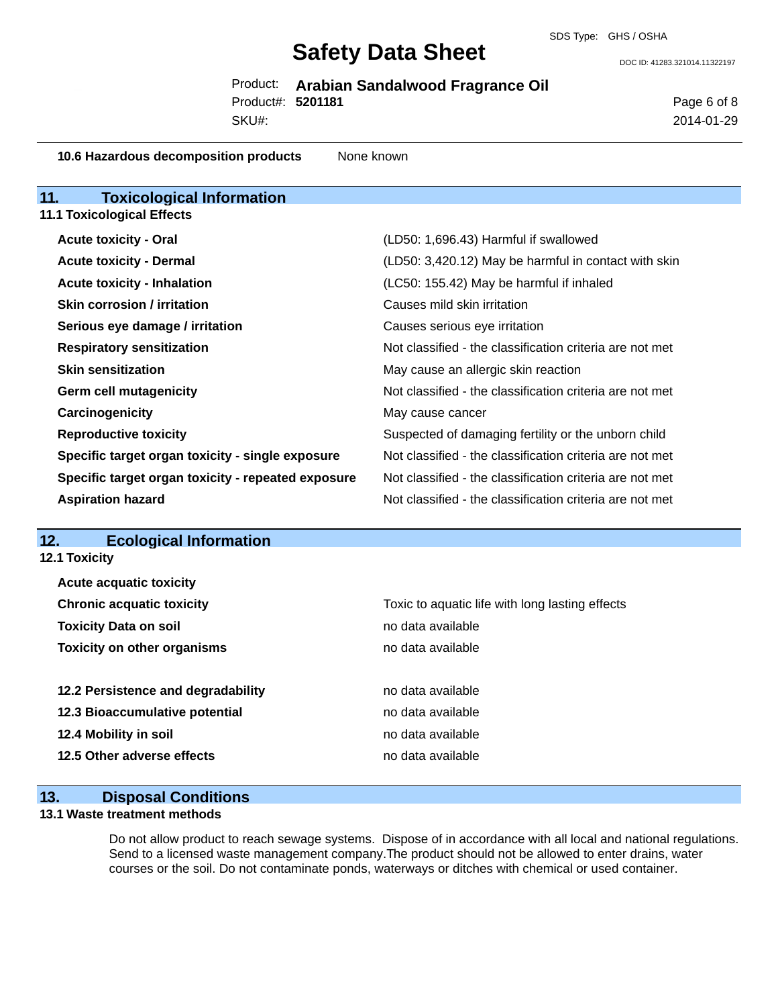DOC ID: 41283.321014.11322197

Product: **Arabian Sandalwood Fragrance Oil** SKU#: Product#: **5201181**

Page 6 of 8 2014-01-29

#### **10.6 Hazardous decomposition products** None known

| <b>Toxicological Information</b><br>11.            |                                                          |
|----------------------------------------------------|----------------------------------------------------------|
| <b>11.1 Toxicological Effects</b>                  |                                                          |
| <b>Acute toxicity - Oral</b>                       | (LD50: 1,696.43) Harmful if swallowed                    |
| <b>Acute toxicity - Dermal</b>                     | (LD50: 3,420.12) May be harmful in contact with skin     |
| <b>Acute toxicity - Inhalation</b>                 | (LC50: 155.42) May be harmful if inhaled                 |
| <b>Skin corrosion / irritation</b>                 | Causes mild skin irritation                              |
| Serious eye damage / irritation                    | Causes serious eye irritation                            |
| <b>Respiratory sensitization</b>                   | Not classified - the classification criteria are not met |
| <b>Skin sensitization</b>                          | May cause an allergic skin reaction                      |
| <b>Germ cell mutagenicity</b>                      | Not classified - the classification criteria are not met |
| Carcinogenicity                                    | May cause cancer                                         |
| <b>Reproductive toxicity</b>                       | Suspected of damaging fertility or the unborn child      |
| Specific target organ toxicity - single exposure   | Not classified - the classification criteria are not met |
| Specific target organ toxicity - repeated exposure | Not classified - the classification criteria are not met |
| <b>Aspiration hazard</b>                           | Not classified - the classification criteria are not met |

## **12. Ecological Information**

**12.1 Toxicity**

| <b>Acute acquatic toxicity</b>     |                                                 |
|------------------------------------|-------------------------------------------------|
| <b>Chronic acquatic toxicity</b>   | Toxic to aquatic life with long lasting effects |
| <b>Toxicity Data on soil</b>       | no data available                               |
| <b>Toxicity on other organisms</b> | no data available                               |
|                                    |                                                 |
| 12.2 Persistence and degradability | no data available                               |
| 12.3 Bioaccumulative potential     | no data available                               |
| 12.4 Mobility in soil              | no data available                               |
| 12.5 Other adverse effects         | no data available                               |
|                                    |                                                 |

# **13. Disposal Conditions**

### **13.1 Waste treatment methods**

Do not allow product to reach sewage systems. Dispose of in accordance with all local and national regulations. Send to a licensed waste management company.The product should not be allowed to enter drains, water courses or the soil. Do not contaminate ponds, waterways or ditches with chemical or used container.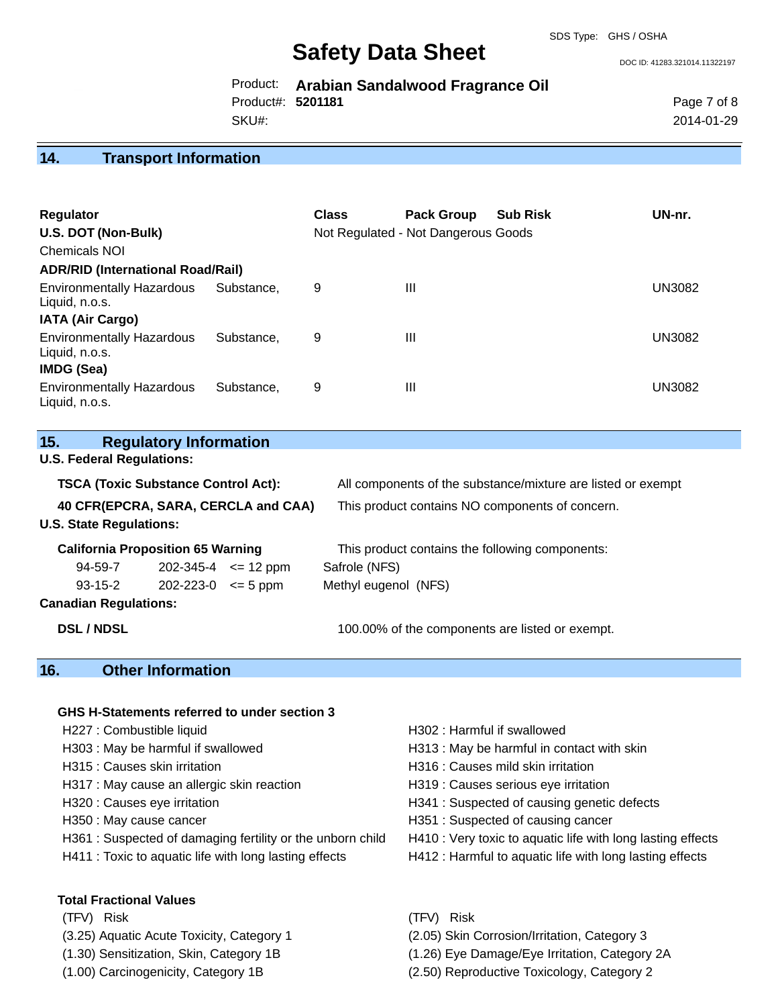DOC ID: 41283.321014.11322197

|                   | Product: Arabian Sandalwood Fragrance Oil |
|-------------------|-------------------------------------------|
| Product#: 5201181 |                                           |
| SKU#:             |                                           |

2014-01-29

### **14. Transport Information**

| <b>Regulator</b><br>U.S. DOT (Non-Bulk)<br><b>Chemicals NOI</b><br><b>ADR/RID (International Road/Rail)</b> | <b>Class</b> | <b>Pack Group</b><br>Not Regulated - Not Dangerous Goods | <b>Sub Risk</b> | UN-nr.                                                                                                          |        |  |  |
|-------------------------------------------------------------------------------------------------------------|--------------|----------------------------------------------------------|-----------------|-----------------------------------------------------------------------------------------------------------------|--------|--|--|
| <b>Environmentally Hazardous</b><br>Liquid, n.o.s.<br><b>IATA (Air Cargo)</b>                               | Substance,   | 9                                                        | Ш               |                                                                                                                 | UN3082 |  |  |
| <b>Environmentally Hazardous</b><br>Liquid, n.o.s.<br>IMDG (Sea)                                            | Substance,   | 9                                                        | Ш               |                                                                                                                 | UN3082 |  |  |
| <b>Environmentally Hazardous</b><br>Liquid, n.o.s.                                                          | Substance,   | 9                                                        | $\mathbf{III}$  |                                                                                                                 | UN3082 |  |  |
| 15.<br><b>Regulatory Information</b>                                                                        |              |                                                          |                 |                                                                                                                 |        |  |  |
| <b>U.S. Federal Regulations:</b>                                                                            |              |                                                          |                 |                                                                                                                 |        |  |  |
| <b>TSCA (Toxic Substance Control Act):</b><br>40 CFR(EPCRA, SARA, CERCLA and CAA)                           |              |                                                          |                 | All components of the substance/mixture are listed or exempt<br>This product contains NO components of concern. |        |  |  |

**U.S. State Regulations:**

| <b>California Proposition 65 Warning</b> |                                    |                             | This product contains the following components: |  |  |  |
|------------------------------------------|------------------------------------|-----------------------------|-------------------------------------------------|--|--|--|
| 94-59-7                                  |                                    | $202 - 345 - 4 \leq 12$ ppm | Safrole (NFS)                                   |  |  |  |
| 93-15-2                                  | $202 - 223 - 0 \leq 5 \text{ ppm}$ |                             | Methyl eugenol (NFS)                            |  |  |  |
| Canadian Regulations:                    |                                    |                             |                                                 |  |  |  |

**DSL / NDSL** 100.00% of the components are listed or exempt.

## **16. Other Information**

#### **GHS H-Statements referred to under section 3**

- 
- 
- 
- H317 : May cause an allergic skin reaction H319 : Causes serious eve irritation
- 
- 
- H361 : Suspected of damaging fertility or the unborn child H410 : Very toxic to aquatic life with long lasting effects
- 

## **Total Fractional Values**

- 
- 
- 
- 
- H227 : Combustible liquid **H302** : Harmful if swallowed
- H303 : May be harmful if swallowed **H313** : May be harmful in contact with skin
- H315 : Causes skin irritation et al. (a) H316 : Causes mild skin irritation
	-
- H320 : Causes eye irritation **H341** : Suspected of causing genetic defects
- H350 : May cause cancer H351 : Suspected of causing cancer
	-
- H411 : Toxic to aquatic life with long lasting effects H412 : Harmful to aquatic life with long lasting effects
- (TFV) Risk (TFV) Risk
- (3.25) Aquatic Acute Toxicity, Category 1 (2.05) Skin Corrosion/Irritation, Category 3
- (1.30) Sensitization, Skin, Category 1B (1.26) Eye Damage/Eye Irritation, Category 2A
- (1.00) Carcinogenicity, Category 1B (2.50) Reproductive Toxicology, Category 2

Page 7 of 8